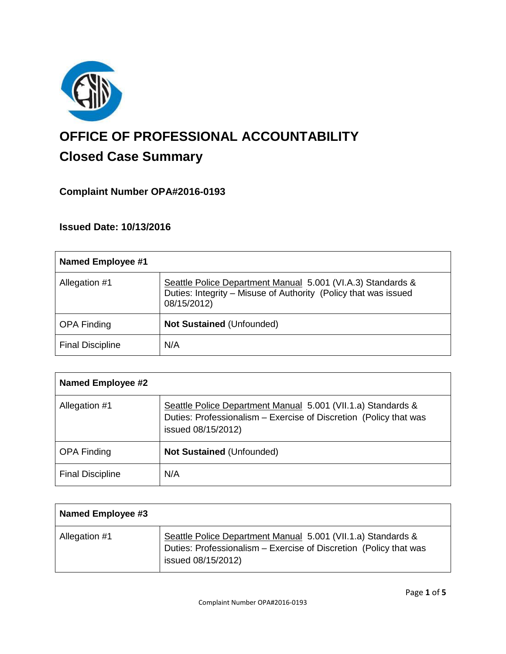

# **OFFICE OF PROFESSIONAL ACCOUNTABILITY Closed Case Summary**

# **Complaint Number OPA#2016-0193**

**Issued Date: 10/13/2016**

| <b>Named Employee #1</b> |                                                                                                                                               |
|--------------------------|-----------------------------------------------------------------------------------------------------------------------------------------------|
| Allegation #1            | Seattle Police Department Manual 5.001 (VI.A.3) Standards &<br>Duties: Integrity - Misuse of Authority (Policy that was issued<br>08/15/2012) |
| <b>OPA Finding</b>       | <b>Not Sustained (Unfounded)</b>                                                                                                              |
| <b>Final Discipline</b>  | N/A                                                                                                                                           |

| <b>Named Employee #2</b> |                                                                                                                                                         |
|--------------------------|---------------------------------------------------------------------------------------------------------------------------------------------------------|
| Allegation #1            | Seattle Police Department Manual 5.001 (VII.1.a) Standards &<br>Duties: Professionalism – Exercise of Discretion (Policy that was<br>issued 08/15/2012) |
| <b>OPA Finding</b>       | <b>Not Sustained (Unfounded)</b>                                                                                                                        |
| <b>Final Discipline</b>  | N/A                                                                                                                                                     |

| Named Employee #3 |                                                                                                                                                         |
|-------------------|---------------------------------------------------------------------------------------------------------------------------------------------------------|
| Allegation #1     | Seattle Police Department Manual 5.001 (VII.1.a) Standards &<br>Duties: Professionalism – Exercise of Discretion (Policy that was<br>issued 08/15/2012) |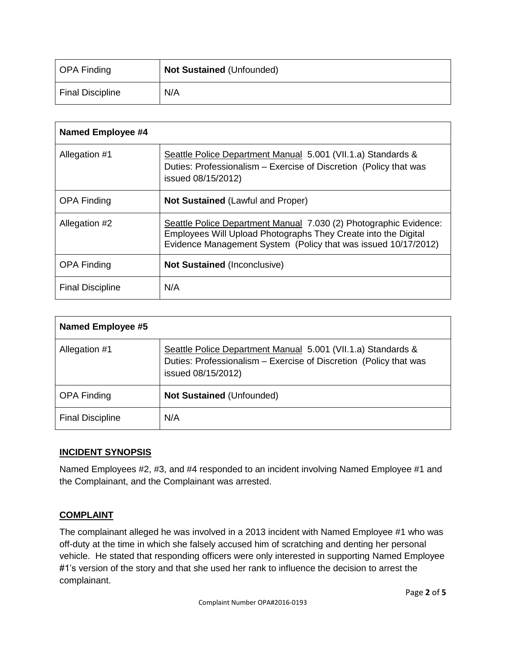| OPA Finding             | <b>Not Sustained (Unfounded)</b> |
|-------------------------|----------------------------------|
| <b>Final Discipline</b> | N/A                              |

| <b>Named Employee #4</b> |                                                                                                                                                                                                       |
|--------------------------|-------------------------------------------------------------------------------------------------------------------------------------------------------------------------------------------------------|
| Allegation #1            | Seattle Police Department Manual 5.001 (VII.1.a) Standards &<br>Duties: Professionalism – Exercise of Discretion (Policy that was<br>issued 08/15/2012)                                               |
| <b>OPA Finding</b>       | <b>Not Sustained (Lawful and Proper)</b>                                                                                                                                                              |
| Allegation #2            | Seattle Police Department Manual 7.030 (2) Photographic Evidence:<br>Employees Will Upload Photographs They Create into the Digital<br>Evidence Management System (Policy that was issued 10/17/2012) |
| <b>OPA Finding</b>       | <b>Not Sustained (Inconclusive)</b>                                                                                                                                                                   |
| <b>Final Discipline</b>  | N/A                                                                                                                                                                                                   |

| <b>Named Employee #5</b> |                                                                                                                                                         |
|--------------------------|---------------------------------------------------------------------------------------------------------------------------------------------------------|
| Allegation #1            | Seattle Police Department Manual 5.001 (VII.1.a) Standards &<br>Duties: Professionalism – Exercise of Discretion (Policy that was<br>issued 08/15/2012) |
| <b>OPA Finding</b>       | <b>Not Sustained (Unfounded)</b>                                                                                                                        |
| <b>Final Discipline</b>  | N/A                                                                                                                                                     |

# **INCIDENT SYNOPSIS**

Named Employees #2, #3, and #4 responded to an incident involving Named Employee #1 and the Complainant, and the Complainant was arrested.

#### **COMPLAINT**

The complainant alleged he was involved in a 2013 incident with Named Employee #1 who was off-duty at the time in which she falsely accused him of scratching and denting her personal vehicle. He stated that responding officers were only interested in supporting Named Employee #1's version of the story and that she used her rank to influence the decision to arrest the complainant.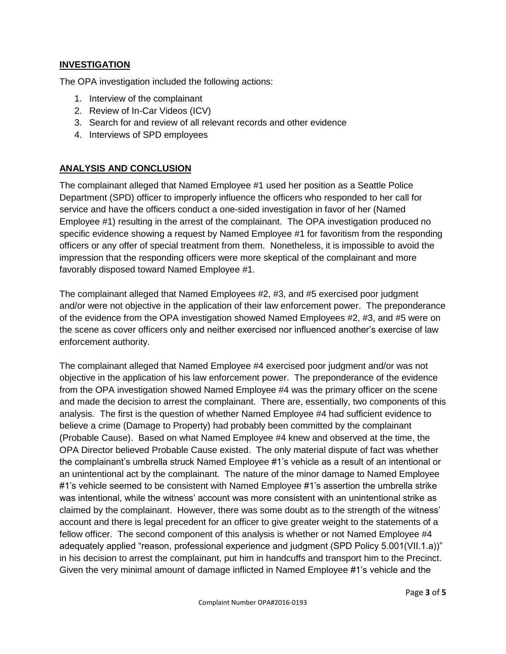# **INVESTIGATION**

The OPA investigation included the following actions:

- 1. Interview of the complainant
- 2. Review of In-Car Videos (ICV)
- 3. Search for and review of all relevant records and other evidence
- 4. Interviews of SPD employees

# **ANALYSIS AND CONCLUSION**

The complainant alleged that Named Employee #1 used her position as a Seattle Police Department (SPD) officer to improperly influence the officers who responded to her call for service and have the officers conduct a one-sided investigation in favor of her (Named Employee #1) resulting in the arrest of the complainant. The OPA investigation produced no specific evidence showing a request by Named Employee #1 for favoritism from the responding officers or any offer of special treatment from them. Nonetheless, it is impossible to avoid the impression that the responding officers were more skeptical of the complainant and more favorably disposed toward Named Employee #1.

The complainant alleged that Named Employees #2, #3, and #5 exercised poor judgment and/or were not objective in the application of their law enforcement power. The preponderance of the evidence from the OPA investigation showed Named Employees #2, #3, and #5 were on the scene as cover officers only and neither exercised nor influenced another's exercise of law enforcement authority.

The complainant alleged that Named Employee #4 exercised poor judgment and/or was not objective in the application of his law enforcement power. The preponderance of the evidence from the OPA investigation showed Named Employee #4 was the primary officer on the scene and made the decision to arrest the complainant. There are, essentially, two components of this analysis. The first is the question of whether Named Employee #4 had sufficient evidence to believe a crime (Damage to Property) had probably been committed by the complainant (Probable Cause). Based on what Named Employee #4 knew and observed at the time, the OPA Director believed Probable Cause existed. The only material dispute of fact was whether the complainant's umbrella struck Named Employee #1's vehicle as a result of an intentional or an unintentional act by the complainant. The nature of the minor damage to Named Employee #1's vehicle seemed to be consistent with Named Employee #1's assertion the umbrella strike was intentional, while the witness' account was more consistent with an unintentional strike as claimed by the complainant. However, there was some doubt as to the strength of the witness' account and there is legal precedent for an officer to give greater weight to the statements of a fellow officer. The second component of this analysis is whether or not Named Employee #4 adequately applied "reason, professional experience and judgment (SPD Policy 5.001(VII.1.a))" in his decision to arrest the complainant, put him in handcuffs and transport him to the Precinct. Given the very minimal amount of damage inflicted in Named Employee #1's vehicle and the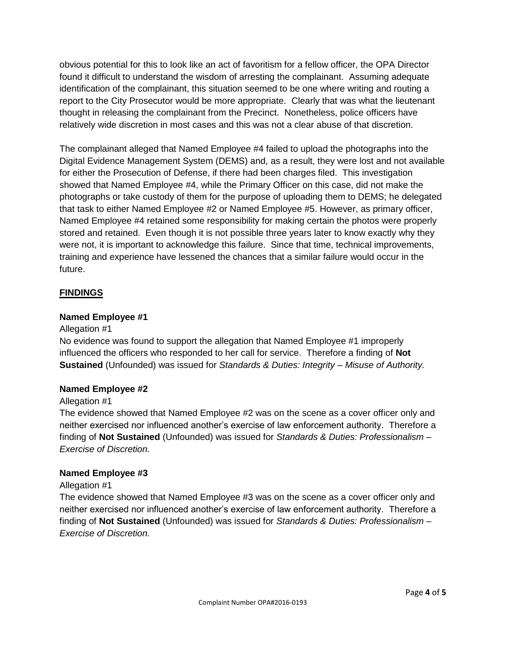obvious potential for this to look like an act of favoritism for a fellow officer, the OPA Director found it difficult to understand the wisdom of arresting the complainant. Assuming adequate identification of the complainant, this situation seemed to be one where writing and routing a report to the City Prosecutor would be more appropriate. Clearly that was what the lieutenant thought in releasing the complainant from the Precinct. Nonetheless, police officers have relatively wide discretion in most cases and this was not a clear abuse of that discretion.

The complainant alleged that Named Employee #4 failed to upload the photographs into the Digital Evidence Management System (DEMS) and, as a result, they were lost and not available for either the Prosecution of Defense, if there had been charges filed. This investigation showed that Named Employee #4, while the Primary Officer on this case, did not make the photographs or take custody of them for the purpose of uploading them to DEMS; he delegated that task to either Named Employee #2 or Named Employee #5. However, as primary officer, Named Employee #4 retained some responsibility for making certain the photos were properly stored and retained. Even though it is not possible three years later to know exactly why they were not, it is important to acknowledge this failure. Since that time, technical improvements, training and experience have lessened the chances that a similar failure would occur in the future.

# **FINDINGS**

# **Named Employee #1**

#### Allegation #1

No evidence was found to support the allegation that Named Employee #1 improperly influenced the officers who responded to her call for service. Therefore a finding of **Not Sustained** (Unfounded) was issued for *Standards & Duties: Integrity – Misuse of Authority.*

#### **Named Employee #2**

#### Allegation #1

The evidence showed that Named Employee #2 was on the scene as a cover officer only and neither exercised nor influenced another's exercise of law enforcement authority. Therefore a finding of **Not Sustained** (Unfounded) was issued for *Standards & Duties: Professionalism – Exercise of Discretion.*

#### **Named Employee #3**

#### Allegation #1

The evidence showed that Named Employee #3 was on the scene as a cover officer only and neither exercised nor influenced another's exercise of law enforcement authority. Therefore a finding of **Not Sustained** (Unfounded) was issued for *Standards & Duties: Professionalism – Exercise of Discretion.*